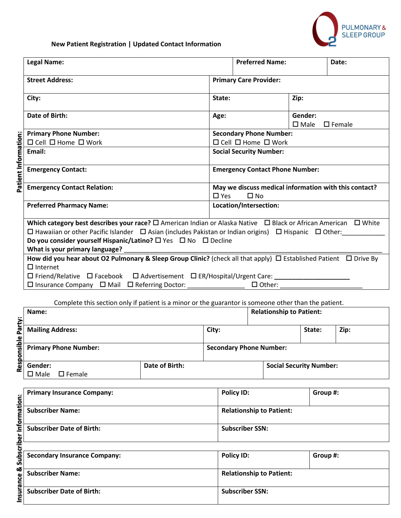

## **New Patient Registration | Updated Contact Information**

|                      | <b>Legal Name:</b>                                                                                                                         |                               | <b>Preferred Name:</b>                                                |  | Date: |  |  |
|----------------------|--------------------------------------------------------------------------------------------------------------------------------------------|-------------------------------|-----------------------------------------------------------------------|--|-------|--|--|
|                      | <b>Street Address:</b>                                                                                                                     | <b>Primary Care Provider:</b> |                                                                       |  |       |  |  |
|                      | City:                                                                                                                                      | Zip:<br>State:                |                                                                       |  |       |  |  |
|                      | Date of Birth:                                                                                                                             |                               | Gender:<br>Age:<br>$\square$ Male<br>$\square$ Female                 |  |       |  |  |
|                      | <b>Primary Phone Number:</b>                                                                                                               |                               | <b>Secondary Phone Number:</b>                                        |  |       |  |  |
|                      | $\Box$ Cell $\Box$ Home $\Box$ Work                                                                                                        |                               | $\Box$ Cell $\Box$ Home $\Box$ Work                                   |  |       |  |  |
|                      | Email:                                                                                                                                     |                               | <b>Social Security Number:</b>                                        |  |       |  |  |
| Patient Information: | <b>Emergency Contact:</b>                                                                                                                  |                               | <b>Emergency Contact Phone Number:</b>                                |  |       |  |  |
|                      | <b>Emergency Contact Relation:</b>                                                                                                         | $\Box$ Yes                    | May we discuss medical information with this contact?<br>$\square$ No |  |       |  |  |
|                      | <b>Preferred Pharmacy Name:</b>                                                                                                            |                               | Location/Intersection:                                                |  |       |  |  |
|                      | Which category best describes your race? $\square$ American Indian or Alaska Native $\square$ Black or African American<br>$\square$ White |                               |                                                                       |  |       |  |  |
|                      | $\Box$ Hawaiian or other Pacific Islander $\Box$ Asian (includes Pakistan or Indian origins) $\Box$ Hispanic $\Box$ Other:                 |                               |                                                                       |  |       |  |  |
|                      | Do you consider yourself Hispanic/Latino? $\square$ Yes $\square$ No $\square$ Decline                                                     |                               |                                                                       |  |       |  |  |
|                      | What is your primary language?                                                                                                             |                               |                                                                       |  |       |  |  |
|                      | How did you hear about O2 Pulmonary & Sleep Group Clinic? (check all that apply) $\Box$ Established Patient $\Box$ Drive By                |                               |                                                                       |  |       |  |  |
|                      | $\Box$ Internet                                                                                                                            |                               |                                                                       |  |       |  |  |
|                      | ロ Friend/Relative ロ Facebook ロ Advertisement ロ ER/Hospital/Urgent Care: ___________________________                                        |                               |                                                                       |  |       |  |  |
|                      | $\Box$ Insurance Company $\Box$ Mail $\Box$ Referring Doctor: ________________                                                             |                               | $\Box$ Other:                                                         |  |       |  |  |
|                      | Complete this section only if patient is a minor or the quarantor is someone other than the patient                                        |                               |                                                                       |  |       |  |  |

Complete this section only if patient is a minor or the guarantor is someone other than the patient.

| s.          | Name:                              |                |                                | <b>Relationship to Patient:</b> |                                |      |
|-------------|------------------------------------|----------------|--------------------------------|---------------------------------|--------------------------------|------|
| ₽<br>£<br>ឹ | <b>Mailing Address:</b>            |                | City:                          |                                 | State:                         | Zip: |
| हैं।        | <b>Primary Phone Number:</b>       |                | <b>Secondary Phone Number:</b> |                                 |                                |      |
| Res         | Gender:                            | Date of Birth: |                                |                                 | <b>Social Security Number:</b> |      |
|             | $\square$ Female<br>$\square$ Male |                |                                |                                 |                                |      |

|              | <b>Primary Insurance Company:</b>   | <b>Policy ID:</b>               | Group #: |
|--------------|-------------------------------------|---------------------------------|----------|
| Information: | <b>Subscriber Name:</b>             | <b>Relationship to Patient:</b> |          |
|              | <b>Subscriber Date of Birth:</b>    | <b>Subscriber SSN:</b>          |          |
| criber       |                                     |                                 |          |
| <b>Subso</b> | <b>Secondary Insurance Company:</b> | <b>Policy ID:</b>               | Group #: |
| ಯ            | <b>Subscriber Name:</b>             | <b>Relationship to Patient:</b> |          |
| Insurance    | <b>Subscriber Date of Birth:</b>    | <b>Subscriber SSN:</b>          |          |

| <b>Secondary Insurance Company:</b> | <b>Policy ID:</b>               | Group #: |
|-------------------------------------|---------------------------------|----------|
| <b>Subscriber Name:</b>             | <b>Relationship to Patient:</b> |          |
| <b>Subscriber Date of Birth:</b>    | <b>Subscriber SSN:</b>          |          |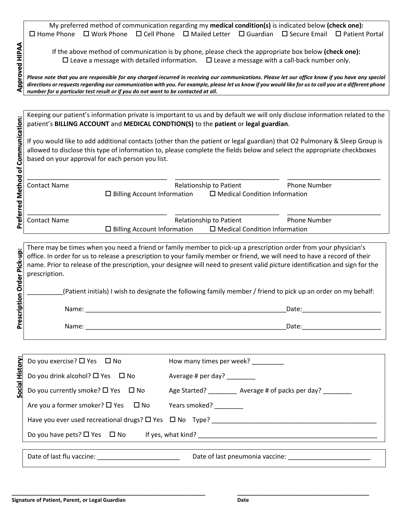My preferred method of communication regarding my **medical condition(s)** is indicated below **(check one):**  $\Box$  Home Phone  $\Box$  Work Phone  $\Box$  Cell Phone  $\Box$  Mailed Letter  $\Box$  Guardian  $\Box$  Secure Email  $\Box$  Patient Portal

If the above method of communication is by phone, please check the appropriate box below **(check one):**  $\square$  Leave a message with detailed information.  $\square$  Leave a message with a call-back number only.

*Please note that you are responsible for any charged incurred in receiving our communications. Please let our office know if you have any special directions or requests regarding our communication with you. For example, please let us know if you would like for us to call you at a different phone number for a particular test result or if you do not want to be contacted at all.*

Keeping our patient's information private is important to us and by default we will only disclose information related to the patient's **BILLING ACCOUNT** and **MEDICAL CONDTION(S)** to the **patient** or **legal guardian**.

If you would like to add additional contacts (other than the patient or legal guardian) that O2 Pulmonary & Sleep Group is allowed to disclose this type of information to, please complete the fields below and select the appropriate checkboxes based on your approval for each person you list.

| <b>Contact Name</b> |                                    | Relationship to Patient              | <b>Phone Number</b> |  |
|---------------------|------------------------------------|--------------------------------------|---------------------|--|
|                     | $\Box$ Billing Account Information | $\Box$ Medical Condition Information |                     |  |
|                     |                                    |                                      |                     |  |
|                     |                                    |                                      |                     |  |
|                     |                                    |                                      |                     |  |
| <b>Contact Name</b> |                                    | Relationship to Patient              | <b>Phone Number</b> |  |

There may be times when you need a friend or family member to pick-up a prescription order from your physician's office. In order for us to release a prescription to your family member or friend, we will need to have a record of their name. Prior to release of the prescription, your designee will need to present valid picture identification and sign for the prescription.

| Name:       | ר C<br>Dale.     |
|-------------|------------------|
| <b>Name</b> | $D - + \epsilon$ |
| .           | <b>Ducc</b>      |

|                             | (Patient initials) I wish to designate the following family member / friend to pick up an order on my behalf: |                                                                 |  |  |
|-----------------------------|---------------------------------------------------------------------------------------------------------------|-----------------------------------------------------------------|--|--|
| Prescription Order Pick-up: |                                                                                                               |                                                                 |  |  |
|                             |                                                                                                               |                                                                 |  |  |
|                             |                                                                                                               |                                                                 |  |  |
|                             | Do you exercise? □ Yes □ No                                                                                   | How many times per week? _________                              |  |  |
| Social History              | Do you drink alcohol? $\square$ Yes $\square$ No                                                              | Average # per day? ________                                     |  |  |
|                             | Do you currently smoke? $\square$ Yes $\square$ No                                                            | Age Started? ________ Average # of packs per day? ________      |  |  |
|                             | Are you a former smoker? □ Yes □ No                                                                           | Years smoked? _________                                         |  |  |
|                             |                                                                                                               |                                                                 |  |  |
|                             |                                                                                                               |                                                                 |  |  |
|                             |                                                                                                               | Date of last pneumonia vaccine: Date of last pneumonia vaccine: |  |  |